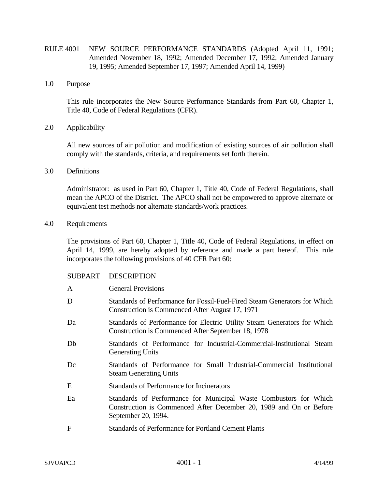- RULE 4001 NEW SOURCE PERFORMANCE STANDARDS (Adopted April 11, 1991; Amended November 18, 1992; Amended December 17, 1992; Amended January 19, 1995; Amended September 17, 1997; Amended April 14, 1999)
- 1.0 Purpose

This rule incorporates the New Source Performance Standards from Part 60, Chapter 1, Title 40, Code of Federal Regulations (CFR).

2.0 Applicability

All new sources of air pollution and modification of existing sources of air pollution shall comply with the standards, criteria, and requirements set forth therein.

3.0 Definitions

Administrator: as used in Part 60, Chapter 1, Title 40, Code of Federal Regulations, shall mean the APCO of the District. The APCO shall not be empowered to approve alternate or equivalent test methods nor alternate standards/work practices.

4.0 Requirements

The provisions of Part 60, Chapter 1, Title 40, Code of Federal Regulations, in effect on April 14, 1999, are hereby adopted by reference and made a part hereof. This rule incorporates the following provisions of 40 CFR Part 60:

| A  | <b>General Provisions</b>                                                                                                                                      |
|----|----------------------------------------------------------------------------------------------------------------------------------------------------------------|
| D  | Standards of Performance for Fossil-Fuel-Fired Steam Generators for Which<br>Construction is Commenced After August 17, 1971                                   |
| Da | Standards of Performance for Electric Utility Steam Generators for Which<br>Construction is Commenced After September 18, 1978                                 |
| Db | Standards of Performance for Industrial-Commercial-Institutional Steam<br><b>Generating Units</b>                                                              |
| Dc | Standards of Performance for Small Industrial-Commercial Institutional<br><b>Steam Generating Units</b>                                                        |
| E  | Standards of Performance for Incinerators                                                                                                                      |
| Ea | Standards of Performance for Municipal Waste Combustors for Which<br>Construction is Commenced After December 20, 1989 and On or Before<br>September 20, 1994. |
| F  | <b>Standards of Performance for Portland Cement Plants</b>                                                                                                     |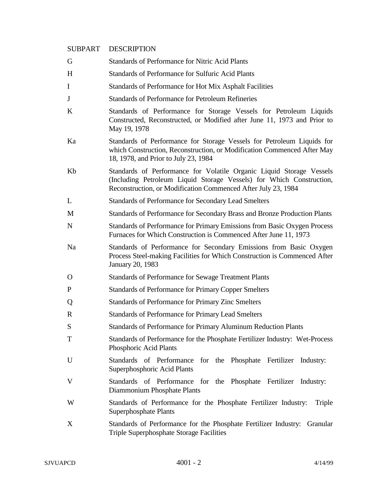| G  | <b>Standards of Performance for Nitric Acid Plants</b>                                                                                                                                                        |
|----|---------------------------------------------------------------------------------------------------------------------------------------------------------------------------------------------------------------|
| H  | <b>Standards of Performance for Sulfuric Acid Plants</b>                                                                                                                                                      |
| I  | Standards of Performance for Hot Mix Asphalt Facilities                                                                                                                                                       |
| J  | Standards of Performance for Petroleum Refineries                                                                                                                                                             |
| K  | Standards of Performance for Storage Vessels for Petroleum Liquids<br>Constructed, Reconstructed, or Modified after June 11, 1973 and Prior to<br>May 19, 1978                                                |
| Ka | Standards of Performance for Storage Vessels for Petroleum Liquids for<br>which Construction, Reconstruction, or Modification Commenced After May<br>18, 1978, and Prior to July 23, 1984                     |
| Kb | Standards of Performance for Volatile Organic Liquid Storage Vessels<br>(Including Petroleum Liquid Storage Vessels) for Which Construction,<br>Reconstruction, or Modification Commenced After July 23, 1984 |
| L  | <b>Standards of Performance for Secondary Lead Smelters</b>                                                                                                                                                   |
| М  | Standards of Performance for Secondary Brass and Bronze Production Plants                                                                                                                                     |
| N  | Standards of Performance for Primary Emissions from Basic Oxygen Process<br>Furnaces for Which Construction is Commenced After June 11, 1973                                                                  |
| Na | Standards of Performance for Secondary Emissions from Basic Oxygen<br>Process Steel-making Facilities for Which Construction is Commenced After<br>January 20, 1983                                           |
| 0  | <b>Standards of Performance for Sewage Treatment Plants</b>                                                                                                                                                   |
| P  | <b>Standards of Performance for Primary Copper Smelters</b>                                                                                                                                                   |
| Q  | Standards of Performance for Primary Zinc Smelters                                                                                                                                                            |
| R  | <b>Standards of Performance for Primary Lead Smelters</b>                                                                                                                                                     |
| S  | Standards of Performance for Primary Aluminum Reduction Plants                                                                                                                                                |
| T  | Standards of Performance for the Phosphate Fertilizer Industry: Wet-Process<br>Phosphoric Acid Plants                                                                                                         |
| U  | Standards of Performance for the Phosphate Fertilizer Industry:<br>Superphosphoric Acid Plants                                                                                                                |
| V  | Standards of Performance for the Phosphate Fertilizer Industry:<br>Diammonium Phosphate Plants                                                                                                                |
| W  | Standards of Performance for the Phosphate Fertilizer Industry:<br>Triple<br>Superphosphate Plants                                                                                                            |
| X  | Standards of Performance for the Phosphate Fertilizer Industry: Granular<br><b>Triple Superphosphate Storage Facilities</b>                                                                                   |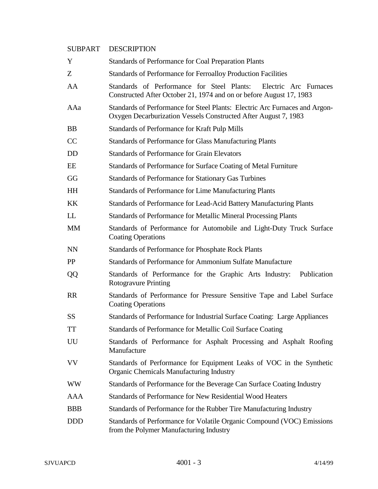| Y          | Standards of Performance for Coal Preparation Plants                                                                                           |
|------------|------------------------------------------------------------------------------------------------------------------------------------------------|
| Z          | Standards of Performance for Ferroalloy Production Facilities                                                                                  |
| AA         | Standards of Performance for Steel Plants:<br>Electric Arc Furnaces<br>Constructed After October 21, 1974 and on or before August 17, 1983     |
| AAa        | Standards of Performance for Steel Plants: Electric Arc Furnaces and Argon-<br>Oxygen Decarburization Vessels Constructed After August 7, 1983 |
| <b>BB</b>  | Standards of Performance for Kraft Pulp Mills                                                                                                  |
| CC         | <b>Standards of Performance for Glass Manufacturing Plants</b>                                                                                 |
| <b>DD</b>  | <b>Standards of Performance for Grain Elevators</b>                                                                                            |
| EE         | Standards of Performance for Surface Coating of Metal Furniture                                                                                |
| GG         | Standards of Performance for Stationary Gas Turbines                                                                                           |
| <b>HH</b>  | <b>Standards of Performance for Lime Manufacturing Plants</b>                                                                                  |
| KK         | Standards of Performance for Lead-Acid Battery Manufacturing Plants                                                                            |
| LL         | Standards of Performance for Metallic Mineral Processing Plants                                                                                |
| <b>MM</b>  | Standards of Performance for Automobile and Light-Duty Truck Surface<br><b>Coating Operations</b>                                              |
| <b>NN</b>  | Standards of Performance for Phosphate Rock Plants                                                                                             |
| PP         | Standards of Performance for Ammonium Sulfate Manufacture                                                                                      |
| QQ         | Standards of Performance for the Graphic Arts Industry:<br>Publication<br><b>Rotogravure Printing</b>                                          |
| <b>RR</b>  | Standards of Performance for Pressure Sensitive Tape and Label Surface<br><b>Coating Operations</b>                                            |
| <b>SS</b>  | Standards of Performance for Industrial Surface Coating: Large Appliances                                                                      |
| <b>TT</b>  | Standards of Performance for Metallic Coil Surface Coating                                                                                     |
| UU         | Standards of Performance for Asphalt Processing and Asphalt Roofing<br>Manufacture                                                             |
| <b>VV</b>  | Standards of Performance for Equipment Leaks of VOC in the Synthetic<br><b>Organic Chemicals Manufacturing Industry</b>                        |
| <b>WW</b>  | Standards of Performance for the Beverage Can Surface Coating Industry                                                                         |
| <b>AAA</b> | Standards of Performance for New Residential Wood Heaters                                                                                      |
| <b>BBB</b> | Standards of Performance for the Rubber Tire Manufacturing Industry                                                                            |
| <b>DDD</b> | Standards of Performance for Volatile Organic Compound (VOC) Emissions<br>from the Polymer Manufacturing Industry                              |